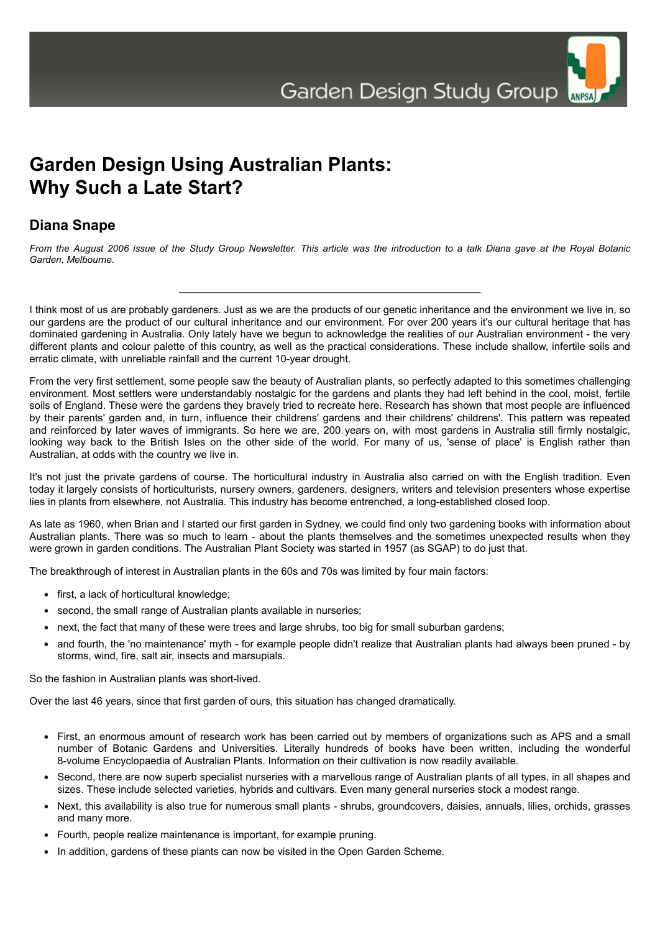

## **Garden Design Using Australian Plants: Why Such a Late Start?**

## **Diana Snape**

*From the August 2006 issue of the Study Group Newsletter. This article was the introduction to a talk Diana gave at the Royal Botanic Garden, Melbourne.*

I think most of us are probably gardeners. Just as we are the products of our genetic inheritance and the environment we live in, so our gardens are the product of our cultural inheritance and our environment. For over 200 years it's our cultural heritage that has dominated gardening in Australia. Only lately have we begun to acknowledge the realities of our Australian environment - the very different plants and colour palette of this country, as well as the practical considerations. These include shallow, infertile soils and erratic climate, with unreliable rainfall and the current 10-year drought.

From the very first settlement, some people saw the beauty of Australian plants, so perfectly adapted to this sometimes challenging environment. Most settlers were understandably nostalgic for the gardens and plants they had left behind in the cool, moist, fertile soils of England. These were the gardens they bravely tried to recreate here. Research has shown that most people are influenced by their parents' garden and, in turn, influence their childrens' gardens and their childrens' childrens'. This pattern was repeated and reinforced by later waves of immigrants. So here we are, 200 years on, with most gardens in Australia still firmly nostalgic, looking way back to the British Isles on the other side of the world. For many of us, 'sense of place' is English rather than Australian, at odds with the country we live in.

It's not just the private gardens of course. The horticultural industry in Australia also carried on with the English tradition. Even today it largely consists of horticulturists, nursery owners, gardeners, designers, writers and television presenters whose expertise lies in plants from elsewhere, not Australia. This industry has become entrenched, a long-established closed loop.

As late as 1960, when Brian and I started our first garden in Sydney, we could find only two gardening books with information about Australian plants. There was so much to learn - about the plants themselves and the sometimes unexpected results when they were grown in garden conditions. The Australian Plant Society was started in 1957 (as SGAP) to do just that.

The breakthrough of interest in Australian plants in the 60s and 70s was limited by four main factors:

- first, a lack of horticultural knowledge;
- second, the small range of Australian plants available in nurseries;
- next, the fact that many of these were trees and large shrubs, too big for small suburban gardens;
- and fourth, the 'no maintenance' myth for example people didn't realize that Australian plants had always been pruned by storms, wind, fire, salt air, insects and marsupials.

So the fashion in Australian plants was short-lived.

Over the last 46 years, since that first garden of ours, this situation has changed dramatically.

- First, an enormous amount of research work has been carried out by members of organizations such as APS and a small number of Botanic Gardens and Universities. Literally hundreds of books have been written, including the wonderful 8-volume Encyclopaedia of Australian Plants. Information on their cultivation is now readily available.
- Second, there are now superb specialist nurseries with a marvellous range of Australian plants of all types, in all shapes and sizes. These include selected varieties, hybrids and cultivars. Even many general nurseries stock a modest range.
- Next, this availability is also true for numerous small plants shrubs, groundcovers, daisies, annuals, lilies, orchids, grasses and many more.
- Fourth, people realize maintenance is important, for example pruning.
- In addition, gardens of these plants can now be visited in the Open Garden Scheme.